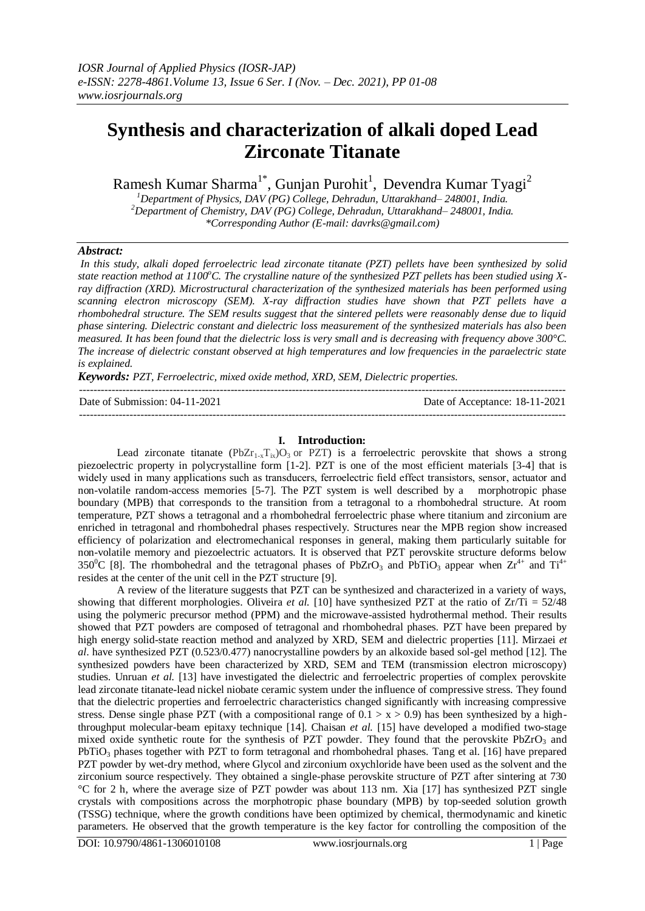# **Synthesis and characterization of alkali doped Lead Zirconate Titanate**

Ramesh Kumar Sharma<sup>1\*</sup>, Gunjan Purohit<sup>1</sup>, Devendra Kumar Tyagi<sup>2</sup>

*<sup>1</sup>Department of Physics, DAV (PG) College, Dehradun, Uttarakhand– 248001, India. <sup>2</sup>Department of Chemistry, DAV (PG) College, Dehradun, Uttarakhand– 248001, India. \*Corresponding Author (E-mail[: davrks@gmail.com\)](mailto:davrks@gmail.com)*

# *Abstract:*

*In this study, alkali doped ferroelectric lead zirconate titanate (PZT) pellets have been synthesized by solid*  state reaction method at 1100<sup>o</sup>C. The crystalline nature of the synthesized PZT pellets has been studied using X*ray diffraction (XRD). Microstructural characterization of the synthesized materials has been performed using scanning electron microscopy (SEM). X-ray diffraction studies have shown that PZT pellets have a rhombohedral structure. The SEM results suggest that the sintered pellets were reasonably dense due to liquid phase sintering. Dielectric constant and dielectric loss measurement of the synthesized materials has also been measured. It has been found that the dielectric loss is very small and is decreasing with frequency above 300°C. The increase of dielectric constant observed at high temperatures and low frequencies in the paraelectric state is explained.*

*Keywords: PZT, Ferroelectric, mixed oxide method, XRD, SEM, Dielectric properties.*

| Date of Submission: $04-11-2021$ | Date of Acceptance: 18-11-2021 |
|----------------------------------|--------------------------------|
|                                  |                                |

## **I. Introduction:**

Lead zirconate titanate (PbZr<sub>1-x</sub>T<sub>ix</sub>)O<sub>3</sub> or PZT) is a ferroelectric perovskite that shows a strong piezoelectric property in polycrystalline form [1-2]. PZT is one of the most efficient materials [3-4] that is widely used in many applications such as transducers, ferroelectric field effect transistors, sensor, actuator and non-volatile random-access memories [5-7]. The PZT system is well described by a morphotropic phase boundary (MPB) that corresponds to the transition from a tetragonal to a rhombohedral structure. At room temperature, PZT shows a tetragonal and a rhombohedral ferroelectric phase where titanium and zirconium are enriched in tetragonal and rhombohedral phases respectively. Structures near the MPB region show increased efficiency of polarization and electromechanical responses in general, making them particularly suitable for non-volatile memory and piezoelectric actuators. It is observed that PZT perovskite structure deforms below 350<sup>o</sup>C [8]. The rhombohedral and the tetragonal phases of PbZrO<sub>3</sub> and PbTiO<sub>3</sub> appear when  $Zr^{4+}$  and Ti<sup>4+</sup> resides at the center of the unit cell in the PZT structure [9].

A review of the literature suggests that PZT can be synthesized and characterized in a variety of ways, showing that different morphologies. Oliveira *et al.* [10] have synthesized PZT at the ratio of Zr/Ti = 52/48 using the polymeric precursor method (PPM) and the microwave-assisted hydrothermal method. Their results showed that PZT powders are composed of tetragonal and rhombohedral phases. PZT have been prepared by high energy solid-state reaction method and analyzed by XRD, SEM and dielectric properties [11]. Mirzaei *et al*. have synthesized PZT (0.523/0.477) nanocrystalline powders by an alkoxide based sol-gel method [12]. The synthesized powders have been characterized by XRD, SEM and TEM (transmission electron microscopy) studies. Unruan *et al.* [13] have investigated the dielectric and ferroelectric properties of complex perovskite lead zirconate titanate-lead nickel niobate ceramic system under the influence of compressive stress. They found that the dielectric properties and ferroelectric characteristics changed significantly with increasing compressive stress. Dense single phase PZT (with a compositional range of  $0.1 > x > 0.9$ ) has been synthesized by a highthroughput molecular-beam epitaxy technique [14]. Chaisan *et al.* [15] have developed a modified two-stage mixed oxide synthetic route for the synthesis of PZT powder. They found that the perovskite PbZrO3 and PbTiO<sub>3</sub> phases together with PZT to form tetragonal and rhombohedral phases. Tang et al. [16] have prepared PZT powder by wet-dry method, where Glycol and zirconium oxychloride have been used as the solvent and the zirconium source respectively. They obtained a single-phase perovskite structure of PZT after sintering at 730 °C for 2 h, where the average size of PZT powder was about 113 nm. Xia [17] has synthesized PZT single crystals with compositions across the morphotropic phase boundary (MPB) by top-seeded solution growth (TSSG) technique, where the growth conditions have been optimized by chemical, thermodynamic and kinetic parameters. He observed that the growth temperature is the key factor for controlling the composition of the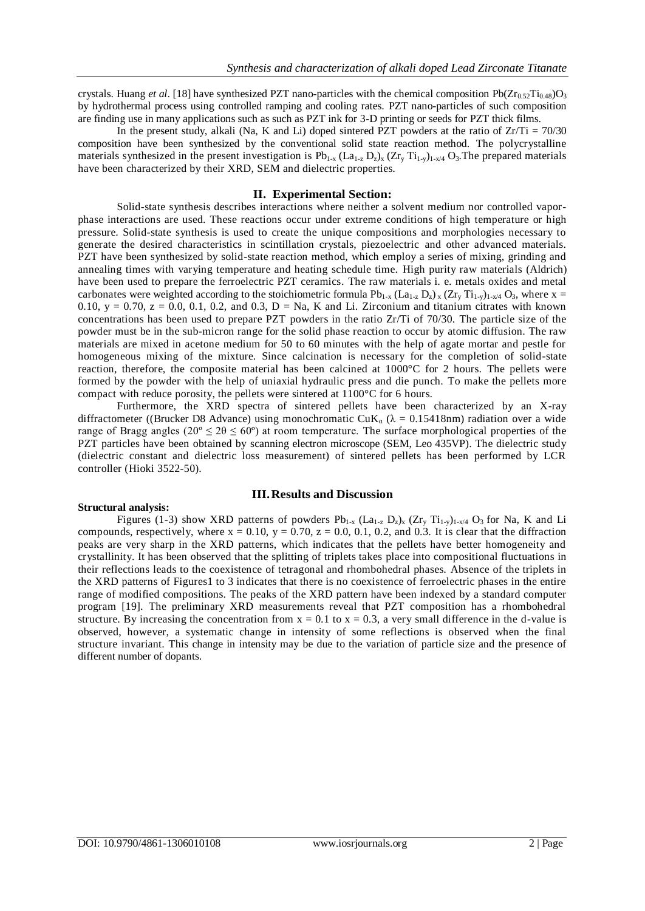crystals. Huang *et al.* [18] have synthesized PZT nano-particles with the chemical composition Pb( $Zr_0 \simeq T_{10.48}$ )O<sub>3</sub> by hydrothermal process using controlled ramping and cooling rates. PZT nano-particles of such composition are finding use in many applications such as such as PZT ink for 3-D printing or seeds for PZT thick films.

In the present study, alkali (Na, K and Li) doped sintered PZT powders at the ratio of  $Zr/Ti = 70/30$ composition have been synthesized by the conventional solid state reaction method. The polycrystalline materials synthesized in the present investigation is  $Pb_{1-x}$  ( $La_{1-z} D_z$ )<sub>x</sub> ( $Zr_y Ti_{1-y}$ )<sub>1-x/4</sub> O<sub>3</sub>. The prepared materials have been characterized by their XRD, SEM and dielectric properties.

#### **II. Experimental Section:**

Solid-state synthesis describes interactions where neither a solvent medium nor controlled vaporphase interactions are used. These reactions occur under extreme conditions of high temperature or high pressure. Solid-state synthesis is used to create the unique compositions and morphologies necessary to generate the desired characteristics in scintillation crystals, piezoelectric and other advanced materials. PZT have been synthesized by solid-state reaction method, which employ a series of mixing, grinding and annealing times with varying temperature and heating schedule time. High purity raw materials (Aldrich) have been used to prepare the ferroelectric PZT ceramics. The raw materials i. e. metals oxides and metal carbonates were weighted according to the stoichiometric formula  $Pb_{1-x} (La_{1-z} D_z)_x (Zr_y Ti_{1-y})_{1-x/4} O_3$ , where x = 0.10, y = 0.70, z = 0.0, 0.1, 0.2, and 0.3, D = Na, K and Li. Zirconium and titanium citrates with known concentrations has been used to prepare PZT powders in the ratio Zr/Ti of 70/30. The particle size of the powder must be in the sub-micron range for the solid phase reaction to occur by atomic diffusion. The raw materials are mixed in acetone medium for 50 to 60 minutes with the help of agate mortar and pestle for homogeneous mixing of the mixture. Since calcination is necessary for the completion of solid-state reaction, therefore, the composite material has been calcined at 1000°C for 2 hours. The pellets were formed by the powder with the help of uniaxial hydraulic press and die punch. To make the pellets more compact with reduce porosity, the pellets were sintered at 1100°C for 6 hours.

Furthermore, the XRD spectra of sintered pellets have been characterized by an X-ray diffractometer ((Brucker D8 Advance) using monochromatic CuK<sub>a</sub> ( $\lambda = 0.15418$ nm) radiation over a wide range of Bragg angles ( $20^{\circ} \le 2\theta \le 60^{\circ}$ ) at room temperature. The surface morphological properties of the PZT particles have been obtained by scanning electron microscope (SEM, Leo 435VP). The dielectric study (dielectric constant and dielectric loss measurement) of sintered pellets has been performed by LCR controller (Hioki 3522-50).

## **III.Results and Discussion**

### **Structural analysis:**

Figures (1-3) show XRD patterns of powders  $Pb_{1-x}$  (La<sub>1-z</sub> D<sub>z</sub>)<sub>x</sub> (Zr<sub>y</sub> T<sub>1-y</sub>)<sub>1-x/4</sub> O<sub>3</sub> for Na, K and Li compounds, respectively, where  $x = 0.10$ ,  $y = 0.70$ ,  $z = 0.0$ , 0.1, 0.2, and 0.3. It is clear that the diffraction peaks are very sharp in the XRD patterns, which indicates that the pellets have better homogeneity and crystallinity. It has been observed that the splitting of triplets takes place into compositional fluctuations in their reflections leads to the coexistence of tetragonal and rhombohedral phases. Absence of the triplets in the XRD patterns of Figures1 to 3 indicates that there is no coexistence of ferroelectric phases in the entire range of modified compositions. The peaks of the XRD pattern have been indexed by a standard computer program [19]. The preliminary XRD measurements reveal that PZT composition has a rhombohedral structure. By increasing the concentration from  $x = 0.1$  to  $x = 0.3$ , a very small difference in the d-value is observed, however, a systematic change in intensity of some reflections is observed when the final structure invariant. This change in intensity may be due to the variation of particle size and the presence of different number of dopants.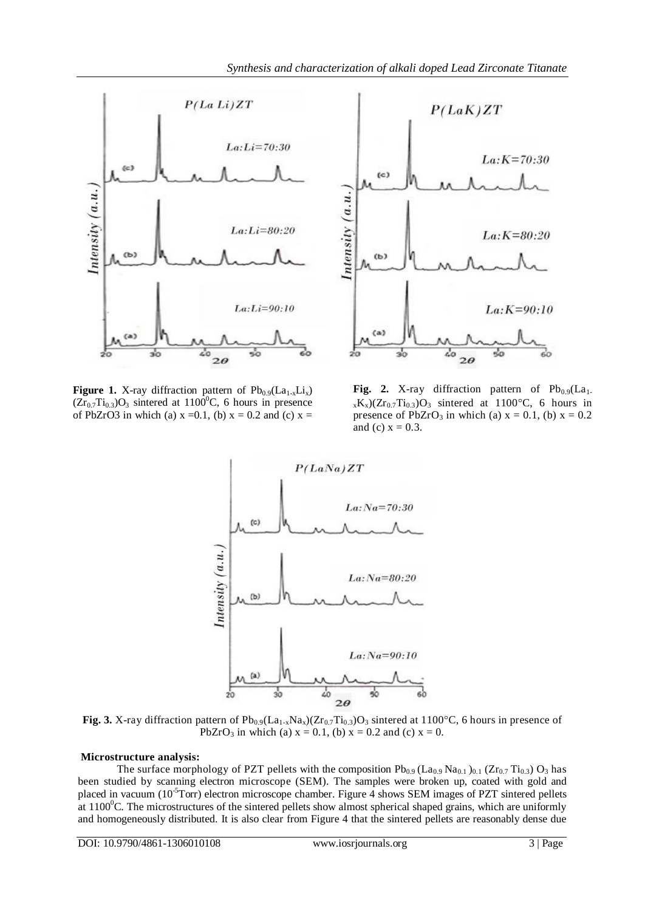



**Figure 1.** X-ray diffraction pattern of  $Pb_{0.9}(La_{1-x}Li_x)$  $(Zr_{0.7}Ti_{0.3})O_3$  sintered at 1100<sup>o</sup>C, 6 hours in presence of PbZrO3 in which (a)  $x = 0.1$ , (b)  $x = 0.2$  and (c)  $x =$ 

Fig. 2. X-ray diffraction pattern of  $Pb_{0.9}(La_1$ .  $_{x}K_{x}$ )(Zr<sub>0.7</sub>Ti<sub>0.3</sub>)O<sub>3</sub> sintered at 1100°C, 6 hours in presence of PbZrO<sub>3</sub> in which (a)  $x = 0.1$ , (b)  $x = 0.2$ and (c)  $x = 0.3$ .



**Fig.** 3. X-ray diffraction pattern of  $Pb_{0.9}(La_{1-x}Na_x)(Zr_{0.7}Ti_{0.3})O_3$  sintered at 1100°C, 6 hours in presence of PbZrO<sub>3</sub> in which (a)  $x = 0.1$ , (b)  $x = 0.2$  and (c)  $x = 0$ .

## **Microstructure analysis:**

The surface morphology of PZT pellets with the composition  $Pb_{0.9}$  (La<sub>0.9</sub> Na<sub>0.1</sub>)<sub>0.1</sub> (Zr<sub>0.7</sub> Ti<sub>0.3</sub>) O<sub>3</sub> has been studied by scanning electron microscope (SEM). The samples were broken up, coated with gold and placed in vacuum (10<sup>-5</sup>Torr) electron microscope chamber. Figure 4 shows SEM images of PZT sintered pellets at  $1100^{\circ}$ C. The microstructures of the sintered pellets show almost spherical shaped grains, which are uniformly and homogeneously distributed. It is also clear from Figure 4 that the sintered pellets are reasonably dense due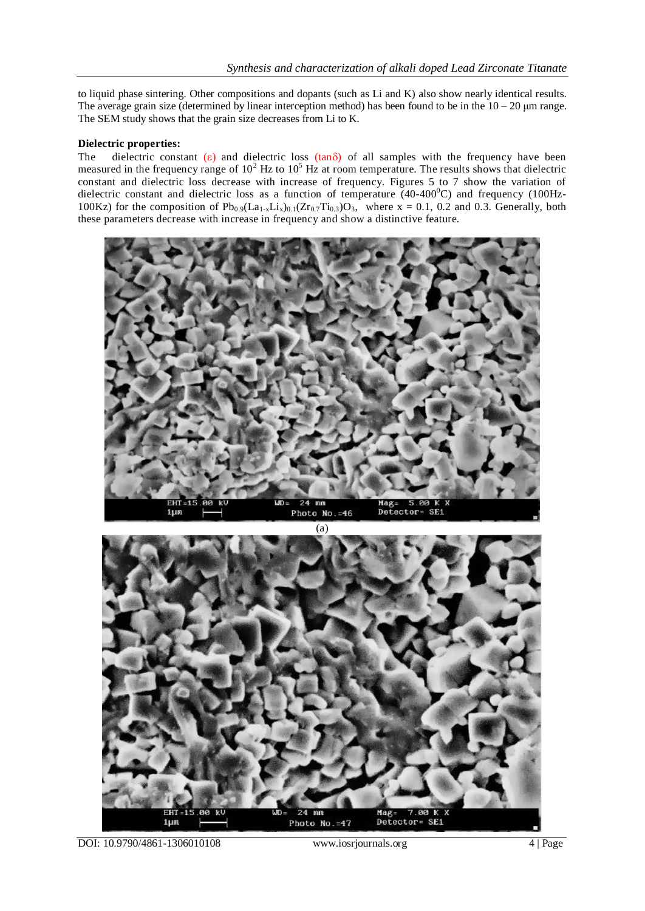to liquid phase sintering. Other compositions and dopants (such as Li and K) also show nearly identical results. The average grain size (determined by linear interception method) has been found to be in the  $10 - 20 \mu m$  range. The SEM study shows that the grain size decreases from Li to K.

# **Dielectric properties:**

The dielectric constant  $(\epsilon)$  and dielectric loss  $(tan\delta)$  of all samples with the frequency have been measured in the frequency range of  $10^2$  Hz to  $10^5$  Hz at room temperature. The results shows that dielectric constant and dielectric loss decrease with increase of frequency. Figures 5 to 7 show the variation of dielectric constant and dielectric loss as a function of temperature  $(40-400^{\circ}\text{C})$  and frequency  $(100\text{Hz}$ -100Kz) for the composition of  $Pb_{0.9}(La_{1-x}Li_x)_{0.1}(Zr_{0.7}Ti_{0.3})O_3$ , where x = 0.1, 0.2 and 0.3. Generally, both these parameters decrease with increase in frequency and show a distinctive feature.





DOI: 10.9790/4861-1306010108 www.iosrjournals.org 4 | Page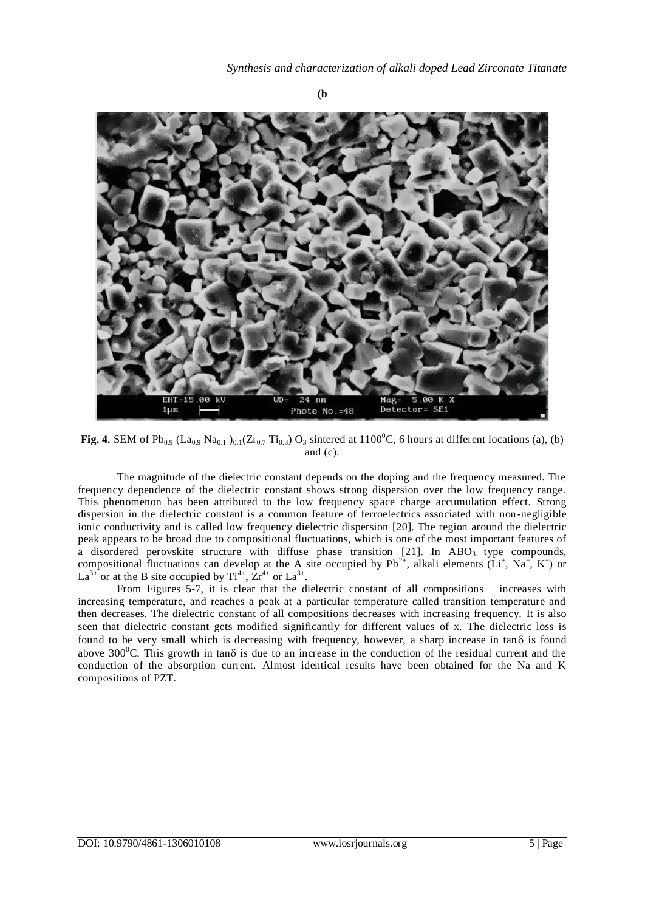

**Fig. 4.** SEM of Pb<sub>0.9</sub> (La<sub>0.9</sub> Na<sub>0.1</sub>)<sub>0.1</sub>(Zr<sub>0.7</sub> Ti<sub>0.3</sub>) O<sub>3</sub> sintered at 1100<sup>°</sup>C, 6 hours at different locations (a), (b) and (c).

The magnitude of the dielectric constant depends on the doping and the frequency measured. The frequency dependence of the dielectric constant shows strong dispersion over the low frequency range. This phenomenon has been attributed to the low frequency space charge accumulation effect. Strong dispersion in the dielectric constant is a common feature of ferroelectrics associated with non -negligible ionic conductivity and is called low frequency dielectric dispersion [20]. The region around the dielectric peak appears to be broad due to compositional fluctuations, which is one of the most important features of a disordered perovskite structure with diffuse phase transition  $[21]$ . In ABO<sub>3</sub> type compounds, compositional fluctuations can develop at the A site occupied by  $Pb^{2+}$ , alkali elements (Li<sup>+</sup>, Na<sup>+</sup>, K<sup>+</sup>) or  $La^{3+}$  or at the B site occupied by  $Ti^{4+}$ ,  $Zr^{4+}$  or  $La^{3+}$ .

From Figures 5-7, it is clear that the dielectric constant of all compositions increases with increasing temperature, and reaches a peak at a particular temperature called transition temperature and then decreases. The dielectric constant of all compositions decreases with increasing frequency. It is also seen that dielectric constant gets modified significantly for different values of x. The dielectric loss is found to be very small which is decreasing with frequency, however, a sharp increase in tan $\delta$  is found above 300<sup>o</sup>C. This growth in tan $\delta$  is due to an increase in the conduction of the residual current and the conduction of the absorption current. Almost identical results have been obtained for the Na and K compositions of PZT.

**(b**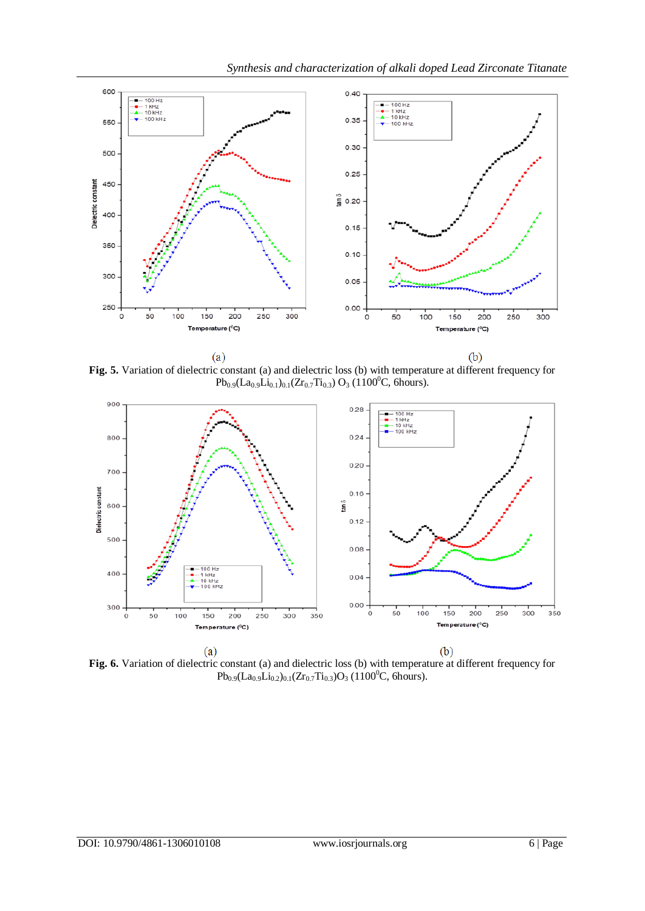

**Fig. 5.** Variation of dielectric constant (a) and dielectric loss (b) with temperature at different frequency for  $Pb_{0.9}(La_{0.9}Li_{0.1})_{0.1}(Zr_{0.7}Ti_{0.3})$  O<sub>3</sub> (1100<sup>0</sup>C, 6hours).



**Fig. 6.** Variation of dielectric constant (a) and dielectric loss (b) with temperature at different frequency for  $Pb_{0.9}(La_{0.9}Li_{0.2})_{0.1}(Zr_{0.7}Ti_{0.3})O_3$  (1100<sup>0</sup>C, 6hours).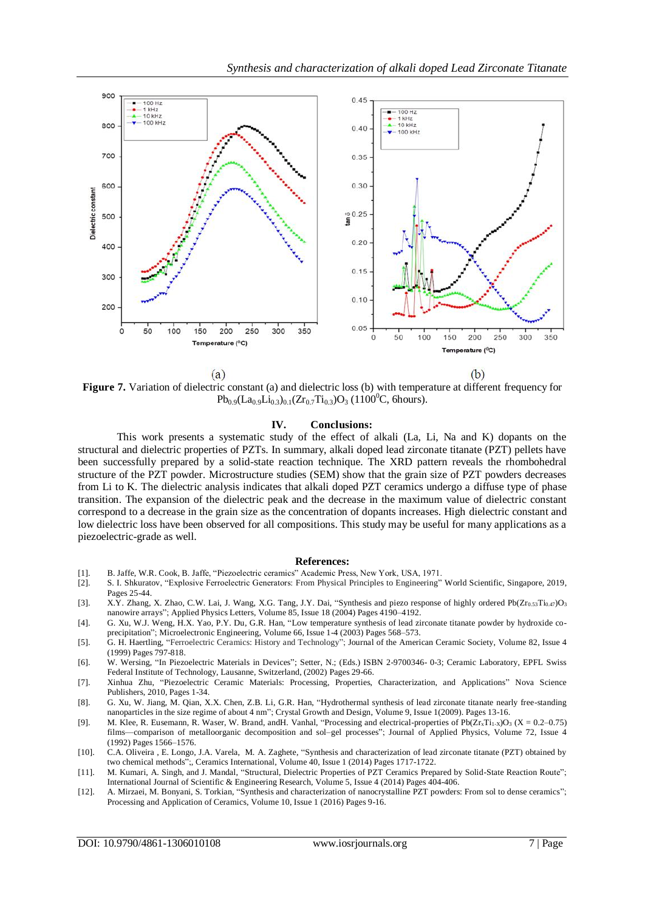

**Figure 7.** Variation of dielectric constant (a) and dielectric loss (b) with temperature at different frequency for  $Pb_{0.9}(La_{0.9}Li_{0.3})_{0.1}(Zr_{0.7}Ti_{0.3})O_3$  (1100<sup>o</sup>C, 6hours).

#### **IV. Conclusions:**

This work presents a systematic study of the effect of alkali (La, Li, Na and K) dopants on the structural and dielectric properties of PZTs. In summary, alkali doped lead zirconate titanate (PZT) pellets have been successfully prepared by a solid-state reaction technique. The XRD pattern reveals the rhombohedral structure of the PZT powder. Microstructure studies (SEM) show that the grain size of PZT powders decreases from Li to K. The dielectric analysis indicates that alkali doped PZT ceramics undergo a diffuse type of phase transition. The expansion of the dielectric peak and the decrease in the maximum value of dielectric constant correspond to a decrease in the grain size as the concentration of dopants increases. High dielectric constant and low dielectric loss have been observed for all compositions. This study may be useful for many applications as a piezoelectric-grade as well.

#### **References:**

- [1]. B. Jaffe, W.R. Cook, B. Jaffe, "Piezoelectric ceramics" Academic Press, New York, USA, 1971.
- [2]. [S. I. Shkuratov,](https://www.worldscientific.com/author/Shkuratov%2C+Sergey+I) "Explosive Ferroelectric Generators: From Physical Principles to Engineering" World Scientific, Singapore, 2019, Pages 25-44.
- [3]. X.Y. Zhang, X. Zhao, C.W. Lai, J. Wang, X.G. Tang, J.Y. Dai, "Synthesis and piezo response of highly ordered Pb(Zr<sub>0.53</sub>Ti<sub>0.47</sub>)O<sub>3</sub> nanowire arrays"; Applied Physics Letters, Volume 85, Issue 18 (2004) Pages 4190–4192.
- [4]. G. Xu, W.J. Weng, H.X. Yao, P.Y. Du, G.R. Han, "Low temperature synthesis of lead zirconate titanate powder by hydroxide coprecipitation"; Microelectronic Engineering, Volume 66, Issue 1-4 (2003) Pages 568–573.
- [5]. G. H. Haertling, "Ferroelectric Ceramics: History and Technology"; Journal of the American Ceramic Society, Volume 82, Issue 4 (1999) Pages 797-818.
- [6]. W. Wersing, "In Piezoelectric Materials in Devices"; Setter, N.; (Eds.) ISBN 2-9700346- 0-3; Ceramic Laboratory, EPFL Swiss Federal Institute of Technology, Lausanne, Switzerland, (2002) Pages 29-66.
- [7]. [Xinhua Zhu,](https://www.google.co.in/search?tbo=p&tbm=bks&q=inauthor:%22Xinhua+Zhu%22&source=gbs_metadata_r&cad=4) "Piezoelectric Ceramic Materials: Processing, Properties, Characterization, and Applications" Nova Science Publishers, 2010, Pages 1-34.
- [8]. G. Xu, W. Jiang, M. Qian, X.X. Chen, Z.B. Li, G.R. Han, "Hydrothermal synthesis of lead zirconate titanate nearly free-standing nanoparticles in the size regime of about 4 nm"; Crystal Growth and Design, Volume 9, Issue 1(2009). Pages 13-16.
- [9]. M. Klee, R. Eusemann, R. Waser, W. Brand, and H. Vanhal, "Processing and electrical-properties of Pb( $Zr_xTi_{1-x}O_3$  (X = 0.2–0.75) films—comparison of metalloorganic decomposition and sol–gel processes"; Journal of Applied Physics, Volume 72, Issue 4 (1992) Pages 1566–1576.
- [10]. C.A. Oliveira , E. Longo, J.A. Varela, M. A. Zaghete, "Synthesis and characterization of lead zirconate titanate (PZT) obtained by two chemical methods";[, Ceramics International,](https://www.sciencedirect.com/science/journal/02728842) Volume 40, Issue 1 (2014) Pages 1717-1722.
- [11]. M. Kumari, A. Singh, and J. Mandal, "Structural, Dielectric Properties of PZT Ceramics Prepared by Solid-State Reaction Route"; International Journal of Scientific & Engineering Research, Volume 5, Issue 4 (2014) Pages 404-406.
- [12]. A. Mirzaei, M. Bonyani, S. Torkian, "Synthesis and characterization of nanocrystalline PZT powders: From sol to dense ceramics"; Processing and Application of Ceramics, Volume 10, Issue 1 (2016) Pages 9-16.